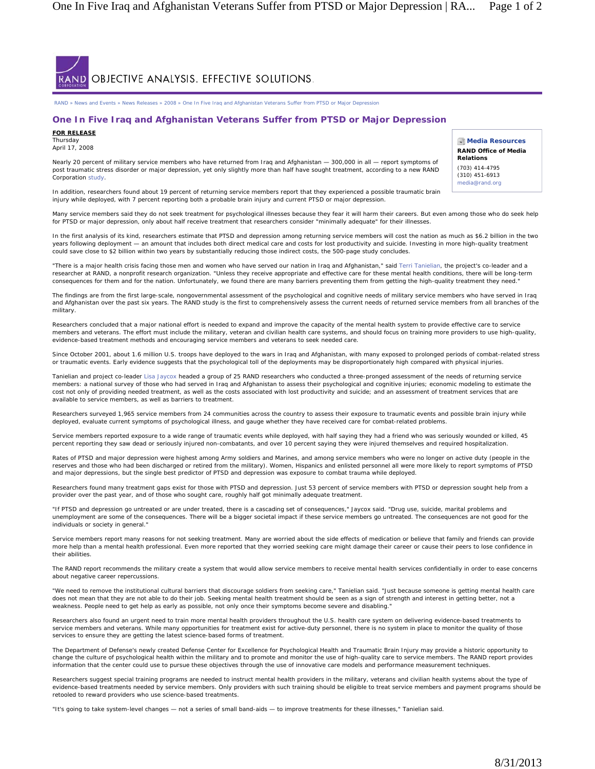

RAND » News and Events » News Releases » 2008 » One In Five Iraq and Afghanistan Veterans Suffer from PTSD or Major Depression

## **One In Five Iraq and Afghanistan Veterans Suffer from PTSD or Major Depression**

## **FOR RELEASE**

Thursday April 17, 2008

Nearly 20 percent of military service members who have returned from Iraq and Afghanistan – 300,000 in all – report symptoms of post traumatic stress disorder or major depression, yet only slightly more than half have sought treatment, according to a new RAND Corporation study.

**Media Resources RAND Office of Media Relations** (703) 414-4795

(310) 451-6913 media@rand.org

In addition, researchers found about 19 percent of returning service members report that they experienced a possible traumatic brain injury while deployed, with 7 percent reporting both a probable brain injury and current PTSD or major depression.

Many service members said they do not seek treatment for psychological illnesses because they fear it will harm their careers. But even among those who do seek help for PTSD or major depression, only about half receive treatment that researchers consider "minimally adequate" for their illnesses

In the first analysis of its kind, researchers estimate that PTSD and depression among returning service members will cost the nation as much as \$6.2 billion in the two years following deployment — an amount that includes both direct medical care and costs for lost productivity and suicide. Investing in more high-quality treatment could save close to \$2 billion within two years by substantially reducing those indirect costs, the 500-page study concludes.

"There is a major health crisis facing those men and women who have served our nation in Iraq and Afghanistan," said Terri Tanielian, the project's co-leader and a researcher at RAND, a nonprofit research organization. "Unless they receive appropriate and effective care for these mental health conditions, there will be long-term consequences for them and for the nation. Unfortunately, we found there are many barriers preventing them from getting the high-quality treatment they need."

The findings are from the first large-scale, nongovernmental assessment of the psychological and cognitive needs of military service members who have served in Iraq and Afghanistan over the past six years. The RAND study is the first to comprehensively assess the current needs of returned service members from all branches of the military.

Researchers concluded that a major national effort is needed to expand and improve the capacity of the mental health system to provide effective care to service members and veterans. The effort must include the military, veteran and civilian health care systems, and should focus on training more providers to use high-quality, evidence-based treatment methods and encouraging service members and veterans to seek needed care.

Since October 2001, about 1.6 million U.S. troops have deployed to the wars in Iraq and Afghanistan, with many exposed to prolonged periods of combat-related stress or traumatic events. Early evidence suggests that the psychological toll of the deployments may be disproportionately high compared with physical injuries.

Tanielian and project co-leader Lisa Jaycox headed a group of 25 RAND researchers who conducted a three-pronged assessment of the needs of returning service members: a national survey of those who had served in Iraq and Afghanistan to assess their psychological and cognitive injuries; economic modeling to estimate the cost not only of providing needed treatment, as well as the costs associated with lost productivity and suicide; and an assessment of treatment services that are available to service members, as well as barriers to treatment.

Researchers surveyed 1,965 service members from 24 communities across the country to assess their exposure to traumatic events and possible brain injury while deployed, evaluate current symptoms of psychological illness, and gauge whether they have received care for combat-related problems.

Service members reported exposure to a wide range of traumatic events while deployed, with half saying they had a friend who was seriously wounded or killed, 45 percent reporting they saw dead or seriously injured non-combatants, and over 10 percent saying they were injured themselves and required hospitalization.

Rates of PTSD and major depression were highest among Army soldiers and Marines, and among service members who were no longer on active duty (people in the reserves and those who had been discharged or retired from the military). Women, Hispanics and enlisted personnel all were more likely to report symptoms of PTSD and major depressions, but the single best predictor of PTSD and depression was exposure to combat trauma while deployed.

Researchers found many treatment gaps exist for those with PTSD and depression. Just 53 percent of service members with PTSD or depression sought help from a provider over the past year, and of those who sought care, roughly half got minimally adequate treatment.

"If PTSD and depression go untreated or are under treated, there is a cascading set of consequences," Jaycox said. "Drug use, suicide, marital problems and unemployment are some of the consequences. There will be a bigger societal impact if these service members go untreated. The consequences are not good for the individuals or society in general."

Service members report many reasons for not seeking treatment. Many are worried about the side effects of medication or believe that family and friends can provide more help than a mental health professional. Even more reported that they worried seeking care might damage their career or cause their peers to lose confidence in their abilities.

The RAND report recommends the military create a system that would allow service members to receive mental health services confidentially in order to ease concerns about negative career repercussions.

"We need to remove the institutional cultural barriers that discourage soldiers from seeking care," Tanielian said. "Just because someone is getting mental health care does not mean that they are not able to do their job. Seeking mental health treatment should be seen as a sign of strength and interest in getting better, not a weakness. People need to get help as early as possible, not only once their symptoms become severe and disabling."

Researchers also found an urgent need to train more mental health providers throughout the U.S. health care system on delivering evidence-based treatments to service members and veterans. While many opportunities for treatment exist for active-duty personnel, there is no system in place to monitor the quality of those services to ensure they are getting the latest science-based forms of treatment.

The Department of Defense's newly created Defense Center for Excellence for Psychological Health and Traumatic Brain Injury may provide a historic opportunity to change the culture of psychological health within the military and to promote and monitor the use of high-quality care to service members. The RAND report provides information that the center could use to pursue these objectives through the use of innovative care models and performance measurement techniques.

Researchers suggest special training programs are needed to instruct mental health providers in the military, veterans and civilian health systems about the type of evidence-based treatments needed by service members. Only providers with such training should be eligible to treat service members and payment programs should be retooled to reward providers who use science-based treatments.

"It's going to take system-level changes — not a series of small band-aids — to improve treatments for these illnesses," Tanielian said.